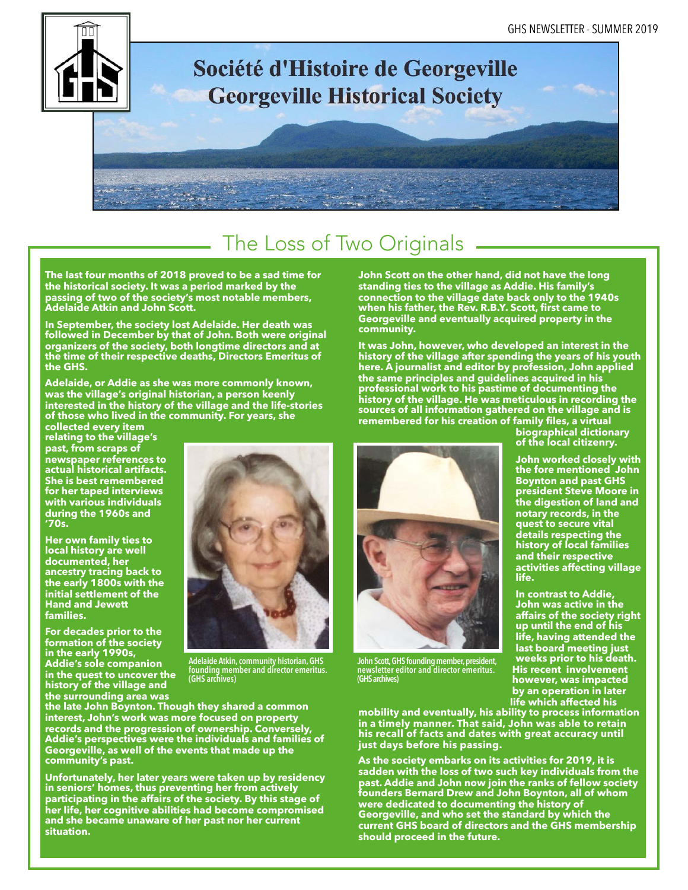

# Société d'Histoire de Georgeville **Georgeville Historical Society**

## The Loss of Two Originals

**The last four months of 2018 proved to be a sad time for the historical society. It was a period marked by the passing of two of the society's most notable members, Adelaide Atkin and John Scott.** 

**In September, the society lost Adelaide. Her death was followed in December by that of John. Both were original organizers of the society, both longtime directors and at the time of their respective deaths, Directors Emeritus of the GHS.** 

**Adelaide, or Addie as she was more commonly known, was the village's original historian, a person keenly interested in the history of the village and the life-stories of those who lived in the community. For years, she** 

**collected every item relating to the village's past, from scraps of newspaper references to actual historical artifacts. She is best remembered for her taped interviews with various individuals during the 1960s and '70s.** 

**Her own family ties to local history are well documented, her ancestry tracing back to the early 1800s with the initial settlement of the Hand and Jewett families.** 

**For decades prior to the formation of the society in the early 1990s, Addie's sole companion in the quest to uncover the history of the village and the surrounding area was** 



**Adelaide Atkin, community historian, GHS founding member and director emeritus. (GHS archives)**

**the late John Boynton. Though they shared a common interest, John's work was more focused on property records and the progression of ownership. Conversely, Addie's perspectives were the individuals and families of Georgeville, as well of the events that made up the community's past.** 

**Unfortunately, her later years were taken up by residency in seniors' homes, thus preventing her from actively participating in the affairs of the society. By this stage of her life, her cognitive abilities had become compromised and she became unaware of her past nor her current situation.** 

**John Scott on the other hand, did not have the long standing ties to the village as Addie. His family's connection to the village date back only to the 1940s when his father, the Rev. R.B.Y. Scott, first came to Georgeville and eventually acquired property in the community.** 

**It was John, however, who developed an interest in the history of the village after spending the years of his youth here. A journalist and editor by profession, John applied the same principles and guidelines acquired in his professional work to his pastime of documenting the history of the village. He was meticulous in recording the sources of all information gathered on the village and is remembered for his creation of family files, a virtual** 



**John Scott, GHS founding member, president, newsletter editor and director emeritus. (GHS archives)**

**mobility and eventually, his ability to process information in a timely manner. That said, John was able to retain his recall of facts and dates with great accuracy until just days before his passing.** 

**As the society embarks on its activities for 2019, it is sadden with the loss of two such key individuals from the past. Addie and John now join the ranks of fellow society founders Bernard Drew and John Boynton, all of whom were dedicated to documenting the history of Georgeville, and who set the standard by which the current GHS board of directors and the GHS membership should proceed in the future.** 

**biographical dictionary of the local citizenry.** 

**John worked closely with the fore mentioned John Boynton and past GHS president Steve Moore in the digestion of land and notary records, in the quest to secure vital details respecting the history of local families and their respective activities affecting village life.** 

**In contrast to Addie, John was active in the affairs of the society right up until the end of his life, having attended the last board meeting just weeks prior to his death. His recent involvement however, was impacted by an operation in later life which affected his**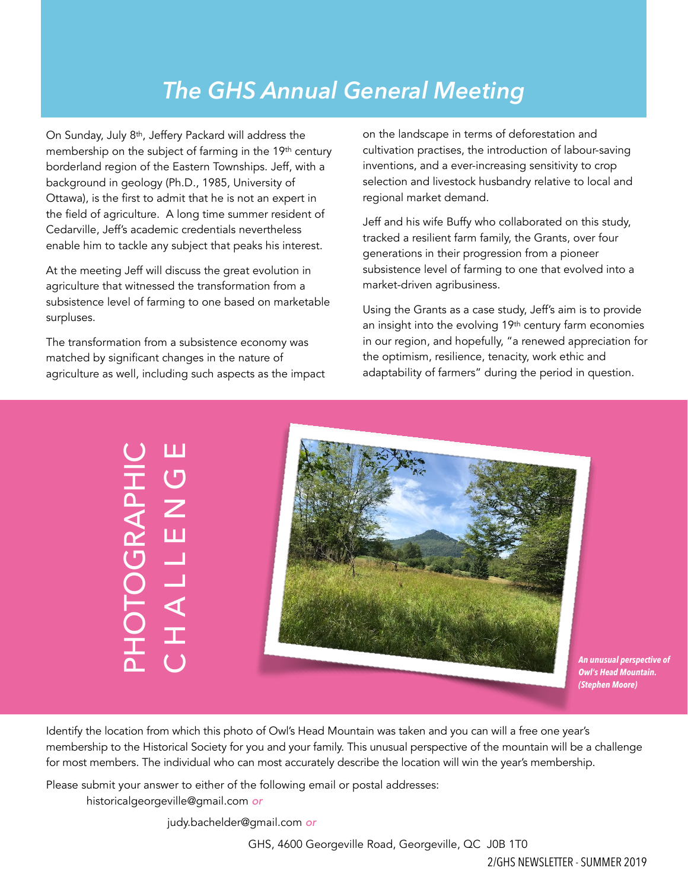## *The GHS Annual General Meeting*

On Sunday, July 8th, Jeffery Packard will address the membership on the subject of farming in the 19<sup>th</sup> century borderland region of the Eastern Townships. Jeff, with a background in geology (Ph.D., 1985, University of Ottawa), is the first to admit that he is not an expert in the field of agriculture. A long time summer resident of Cedarville, Jeff's academic credentials nevertheless enable him to tackle any subject that peaks his interest.

At the meeting Jeff will discuss the great evolution in agriculture that witnessed the transformation from a subsistence level of farming to one based on marketable surpluses.

The transformation from a subsistence economy was matched by significant changes in the nature of agriculture as well, including such aspects as the impact on the landscape in terms of deforestation and cultivation practises, the introduction of labour-saving inventions, and a ever-increasing sensitivity to crop selection and livestock husbandry relative to local and regional market demand.

Jeff and his wife Buffy who collaborated on this study, tracked a resilient farm family, the Grants, over four generations in their progression from a pioneer subsistence level of farming to one that evolved into a market-driven agribusiness.

Using the Grants as a case study, Jeff's aim is to provide an insight into the evolving 19th century farm economies in our region, and hopefully, "a renewed appreciation for the optimism, resilience, tenacity, work ethic and adaptability of farmers" during the period in question.

PHOTOGRAPHIC CHALLENGE **OTOGRAPHIC<br>HALLENGE** CHALLEN



*An unusual perspective of Owl's Head Mountain. (Stephen Moore)*

Identify the location from which this photo of Owl's Head Mountain was taken and you can will a free one year's membership to the Historical Society for you and your family. This unusual perspective of the mountain will be a challenge for most members. The individual who can most accurately describe the location will win the year's membership.

Please submit your answer to either of the following email or postal addresses:

[historicalgeorgeville@gmail.com](mailto:historicalgeorgeville@gmail.com) *or* 

[judy.bachelder@gmail.com](mailto:judy.bachelder@gmail.com) *or* 

GHS, 4600 Georgeville Road, Georgeville, QC J0B 1T0

2/GHS NEWSLETTER - SUMMER 2019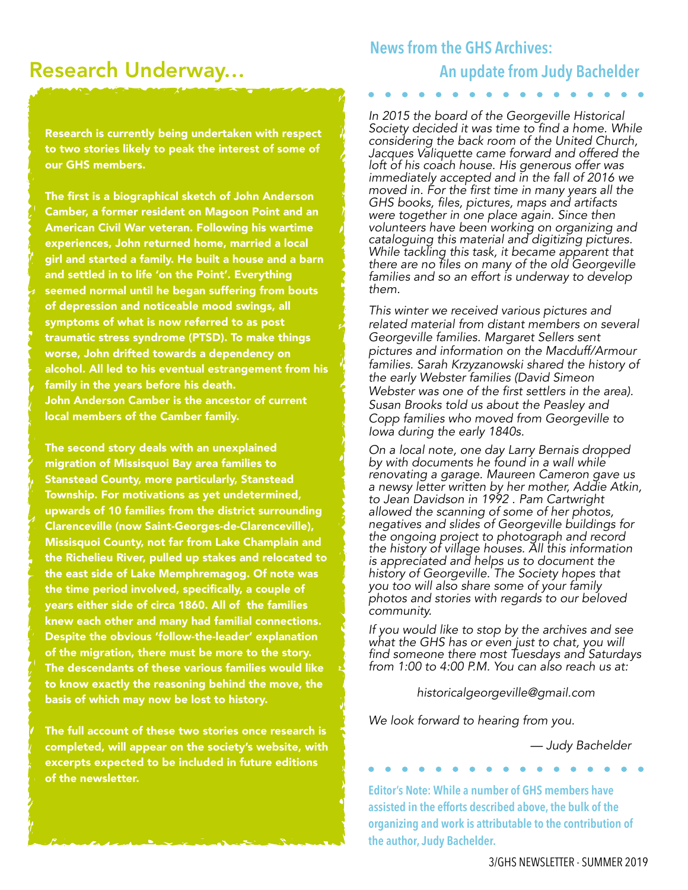## Research Underway…

Research is currently being undertaken with respect to two stories likely to peak the interest of some of our GHS members.

The first is a biographical sketch of John Anderson Camber, a former resident on Magoon Point and an American Civil War veteran. Following his wartime experiences, John returned home, married a local girl and started a family. He built a house and a barn and settled in to life 'on the Point'. Everything seemed normal until he began suffering from bouts of depression and noticeable mood swings, all symptoms of what is now referred to as post traumatic stress syndrome (PTSD). To make things worse, John drifted towards a dependency on alcohol. All led to his eventual estrangement from his family in the years before his death. John Anderson Camber is the ancestor of current local members of the Camber family.

The second story deals with an unexplained migration of Missisquoi Bay area families to Stanstead County, more particularly, Stanstead Township. For motivations as yet undetermined, upwards of 10 families from the district surrounding Clarenceville (now Saint-Georges-de-Clarenceville), Missisquoi County, not far from Lake Champlain and the Richelieu River, pulled up stakes and relocated to the east side of Lake Memphremagog. Of note was the time period involved, specifically, a couple of years either side of circa 1860. All of the families knew each other and many had familial connections. Despite the obvious 'follow-the-leader' explanation of the migration, there must be more to the story. The descendants of these various families would like to know exactly the reasoning behind the move, the basis of which may now be lost to history.

The full account of these two stories once research is completed, will appear on the society's website, with excerpts expected to be included in future editions of the newsletter.

#### **News from the GHS Archives:**

### **An update from Judy Bachelder**

*In 2015 the board of the Georgeville Historical Society decided it was time to find a home. While considering the back room of the United Church, Jacques Valiquette came forward and offered the loft of his coach house. His generous offer was immediately accepted and in the fall of 2016 we moved in. For the first time in many years all the GHS books, files, pictures, maps and artifacts were together in one place again. Since then volunteers have been working on organizing and cataloguing this material and digitizing pictures. While tackling this task, it became apparent that there are no files on many of the old Georgeville families and so an effort is underway to develop them.* 

*This winter we received various pictures and related material from distant members on several Georgeville families. Margaret Sellers sent pictures and information on the Macduff/Armour families. Sarah Krzyzanowski shared the history of the early Webster families (David Simeon Webster was one of the first settlers in the area). Susan Brooks told us about the Peasley and Copp families who moved from Georgeville to Iowa during the early 1840s.* 

*On a local note, one day Larry Bernais dropped by with documents he found in a wall while renovating a garage. Maureen Cameron gave us a newsy letter written by her mother, Addie Atkin, to Jean Davidson in 1992 . Pam Cartwright allowed the scanning of some of her photos, negatives and slides of Georgeville buildings for the ongoing project to photograph and record the history of village houses. All this information is appreciated and helps us to document the history of Georgeville. The Society hopes that you too will also share some of your family photos and stories with regards to our beloved community.* 

*If you would like to stop by the archives and see what the GHS has or even just to chat, you will find someone there most Tuesdays and Saturdays from 1:00 to 4:00 P.M. You can also reach us at:* 

*historicalgeorgeville@gmail.com* 

*We look forward to hearing from you.* 

 *— Judy Bachelder* 

**Editor's Note: While a number of GHS members have assisted in the efforts described above, the bulk of the organizing and work is attributable to the contribution of the author, Judy Bachelder.**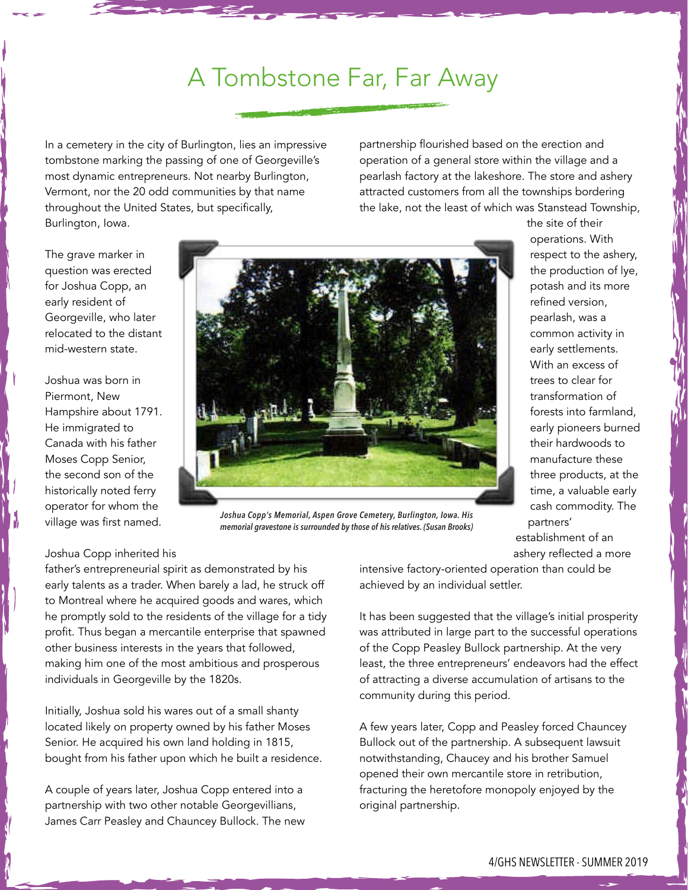## A Tombstone Far, Far Away

In a cemetery in the city of Burlington, lies an impressive tombstone marking the passing of one of Georgeville's most dynamic entrepreneurs. Not nearby Burlington, Vermont, nor the 20 odd communities by that name throughout the United States, but specifically, Burlington, Iowa.

partnership flourished based on the erection and operation of a general store within the village and a pearlash factory at the lakeshore. The store and ashery attracted customers from all the townships bordering the lake, not the least of which was Stanstead Township,

> the site of their operations. With respect to the ashery, the production of lye, potash and its more refined version, pearlash, was a common activity in early settlements. With an excess of trees to clear for transformation of forests into farmland, early pioneers burned their hardwoods to manufacture these three products, at the time, a valuable early cash commodity. The

The grave marker in question was erected for Joshua Copp, an early resident of Georgeville, who later relocated to the distant mid-western state.

Joshua was born in Piermont, New Hampshire about 1791. He immigrated to Canada with his father Moses Copp Senior, the second son of the historically noted ferry operator for whom the village was first named.



*Joshua Copp's Memorial, Aspen Grove Cemetery, Burlington, Iowa. His memorial gravestone is surrounded by those of his relatives. (Susan Brooks)*

#### Joshua Copp inherited his

father's entrepreneurial spirit as demonstrated by his early talents as a trader. When barely a lad, he struck off to Montreal where he acquired goods and wares, which he promptly sold to the residents of the village for a tidy profit. Thus began a mercantile enterprise that spawned other business interests in the years that followed, making him one of the most ambitious and prosperous individuals in Georgeville by the 1820s.

Initially, Joshua sold his wares out of a small shanty located likely on property owned by his father Moses Senior. He acquired his own land holding in 1815, bought from his father upon which he built a residence.

A couple of years later, Joshua Copp entered into a partnership with two other notable Georgevillians, James Carr Peasley and Chauncey Bullock. The new intensive factory-oriented operation than could be achieved by an individual settler.

partners' establishment of an ashery reflected a more

It has been suggested that the village's initial prosperity was attributed in large part to the successful operations of the Copp Peasley Bullock partnership. At the very least, the three entrepreneurs' endeavors had the effect of attracting a diverse accumulation of artisans to the community during this period.

A few years later, Copp and Peasley forced Chauncey Bullock out of the partnership. A subsequent lawsuit notwithstanding, Chaucey and his brother Samuel opened their own mercantile store in retribution, fracturing the heretofore monopoly enjoyed by the original partnership.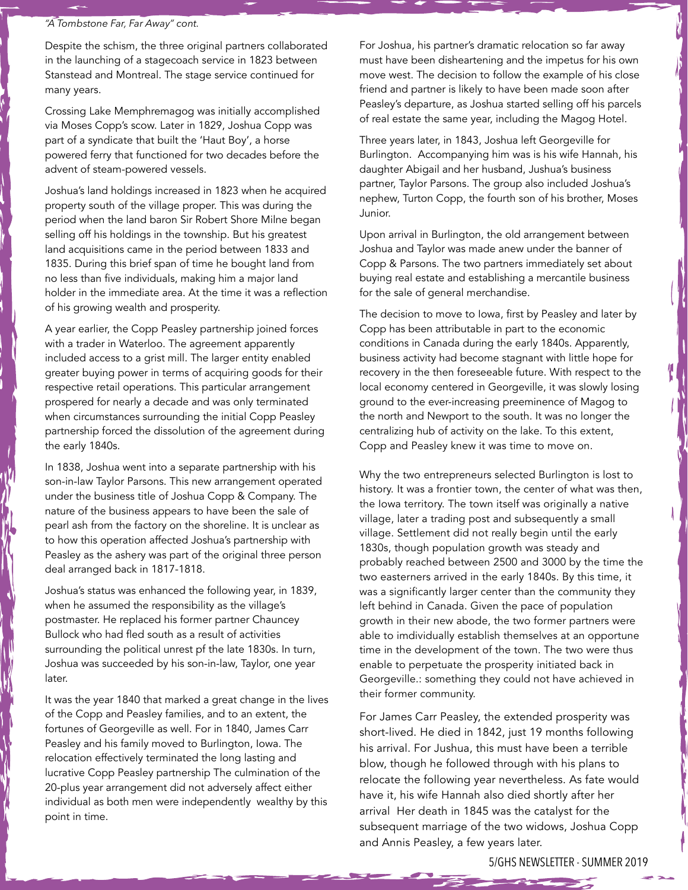#### *"A Tombstone Far, Far Away" cont.*

Despite the schism, the three original partners collaborated in the launching of a stagecoach service in 1823 between Stanstead and Montreal. The stage service continued for many years.

Crossing Lake Memphremagog was initially accomplished via Moses Copp's scow. Later in 1829, Joshua Copp was part of a syndicate that built the 'Haut Boy', a horse powered ferry that functioned for two decades before the advent of steam-powered vessels.

Joshua's land holdings increased in 1823 when he acquired property south of the village proper. This was during the period when the land baron Sir Robert Shore Milne began selling off his holdings in the township. But his greatest land acquisitions came in the period between 1833 and 1835. During this brief span of time he bought land from no less than five individuals, making him a major land holder in the immediate area. At the time it was a reflection of his growing wealth and prosperity.

A year earlier, the Copp Peasley partnership joined forces with a trader in Waterloo. The agreement apparently included access to a grist mill. The larger entity enabled greater buying power in terms of acquiring goods for their respective retail operations. This particular arrangement prospered for nearly a decade and was only terminated when circumstances surrounding the initial Copp Peasley partnership forced the dissolution of the agreement during the early 1840s.

In 1838, Joshua went into a separate partnership with his son-in-law Taylor Parsons. This new arrangement operated under the business title of Joshua Copp & Company. The nature of the business appears to have been the sale of pearl ash from the factory on the shoreline. It is unclear as to how this operation affected Joshua's partnership with Peasley as the ashery was part of the original three person deal arranged back in 1817-1818.

Joshua's status was enhanced the following year, in 1839, when he assumed the responsibility as the village's postmaster. He replaced his former partner Chauncey Bullock who had fled south as a result of activities surrounding the political unrest pf the late 1830s. In turn, Joshua was succeeded by his son-in-law, Taylor, one year later.

It was the year 1840 that marked a great change in the lives of the Copp and Peasley families, and to an extent, the fortunes of Georgeville as well. For in 1840, James Carr Peasley and his family moved to Burlington, Iowa. The relocation effectively terminated the long lasting and lucrative Copp Peasley partnership The culmination of the 20-plus year arrangement did not adversely affect either individual as both men were independently wealthy by this point in time.

For Joshua, his partner's dramatic relocation so far away must have been disheartening and the impetus for his own move west. The decision to follow the example of his close friend and partner is likely to have been made soon after Peasley's departure, as Joshua started selling off his parcels of real estate the same year, including the Magog Hotel.

Three years later, in 1843, Joshua left Georgeville for Burlington. Accompanying him was is his wife Hannah, his daughter Abigail and her husband, Jushua's business partner, Taylor Parsons. The group also included Joshua's nephew, Turton Copp, the fourth son of his brother, Moses Junior.

Upon arrival in Burlington, the old arrangement between Joshua and Taylor was made anew under the banner of Copp & Parsons. The two partners immediately set about buying real estate and establishing a mercantile business for the sale of general merchandise.

The decision to move to Iowa, first by Peasley and later by Copp has been attributable in part to the economic conditions in Canada during the early 1840s. Apparently, business activity had become stagnant with little hope for recovery in the then foreseeable future. With respect to the local economy centered in Georgeville, it was slowly losing ground to the ever-increasing preeminence of Magog to the north and Newport to the south. It was no longer the centralizing hub of activity on the lake. To this extent, Copp and Peasley knew it was time to move on.

Why the two entrepreneurs selected Burlington is lost to history. It was a frontier town, the center of what was then, the Iowa territory. The town itself was originally a native village, later a trading post and subsequently a small village. Settlement did not really begin until the early 1830s, though population growth was steady and probably reached between 2500 and 3000 by the time the two easterners arrived in the early 1840s. By this time, it was a significantly larger center than the community they left behind in Canada. Given the pace of population growth in their new abode, the two former partners were able to imdividually establish themselves at an opportune time in the development of the town. The two were thus enable to perpetuate the prosperity initiated back in Georgeville.: something they could not have achieved in their former community.

For James Carr Peasley, the extended prosperity was short-lived. He died in 1842, just 19 months following his arrival. For Jushua, this must have been a terrible blow, though he followed through with his plans to relocate the following year nevertheless. As fate would have it, his wife Hannah also died shortly after her arrival Her death in 1845 was the catalyst for the subsequent marriage of the two widows, Joshua Copp and Annis Peasley, a few years later.

5/GHS NEWSLETTER - SUMMER 2019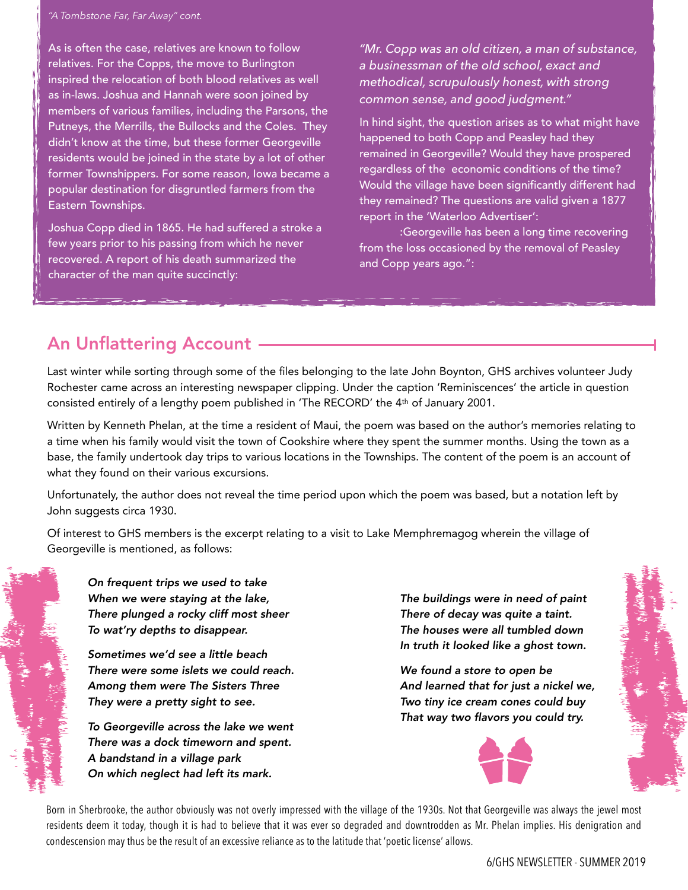#### *"A Tombstone Far, Far Away" cont.*

As is often the case, relatives are known to follow relatives. For the Copps, the move to Burlington inspired the relocation of both blood relatives as well as in-laws. Joshua and Hannah were soon joined by members of various families, including the Parsons, the Putneys, the Merrills, the Bullocks and the Coles. They didn't know at the time, but these former Georgeville residents would be joined in the state by a lot of other former Townshippers. For some reason, Iowa became a popular destination for disgruntled farmers from the Eastern Townships.

Joshua Copp died in 1865. He had suffered a stroke a few years prior to his passing from which he never recovered. A report of his death summarized the character of the man quite succinctly:

*"Mr. Copp was an old citizen, a man of substance, a businessman of the old school, exact and methodical, scrupulously honest, with strong common sense, and good judgment."* 

In hind sight, the question arises as to what might have happened to both Copp and Peasley had they remained in Georgeville? Would they have prospered regardless of the economic conditions of the time? Would the village have been significantly different had they remained? The questions are valid given a 1877 report in the 'Waterloo Advertiser':

 :Georgeville has been a long time recovering from the loss occasioned by the removal of Peasley and Copp years ago.":

### An Unflattering Account

Last winter while sorting through some of the files belonging to the late John Boynton, GHS archives volunteer Judy Rochester came across an interesting newspaper clipping. Under the caption 'Reminiscences' the article in question consisted entirely of a lengthy poem published in 'The RECORD' the 4th of January 2001.

Written by Kenneth Phelan, at the time a resident of Maui, the poem was based on the author's memories relating to a time when his family would visit the town of Cookshire where they spent the summer months. Using the town as a base, the family undertook day trips to various locations in the Townships. The content of the poem is an account of what they found on their various excursions.

Unfortunately, the author does not reveal the time period upon which the poem was based, but a notation left by John suggests circa 1930.

Of interest to GHS members is the excerpt relating to a visit to Lake Memphremagog wherein the village of Georgeville is mentioned, as follows:

*On frequent trips we used to take When we were staying at the lake, There plunged a rocky cliff most sheer To wat'ry depths to disappear.* 

 *Sometimes we'd see a little beach There were some islets we could reach. Among them were The Sisters Three They were a pretty sight to see.* 

 *To Georgeville across the lake we went There was a dock timeworn and spent. A bandstand in a village park On which neglect had left its mark.* 

 *The buildings were in need of paint There of decay was quite a taint. The houses were all tumbled down In truth it looked like a ghost town.* 

 *We found a store to open be And learned that for just a nickel we, Two tiny ice cream cones could buy That way two flavors you could try.*



Born in Sherbrooke, the author obviously was not overly impressed with the village of the 1930s. Not that Georgeville was always the jewel most residents deem it today, though it is had to believe that it was ever so degraded and downtrodden as Mr. Phelan implies. His denigration and condescension may thus be the result of an excessive reliance as to the latitude that 'poetic license' allows.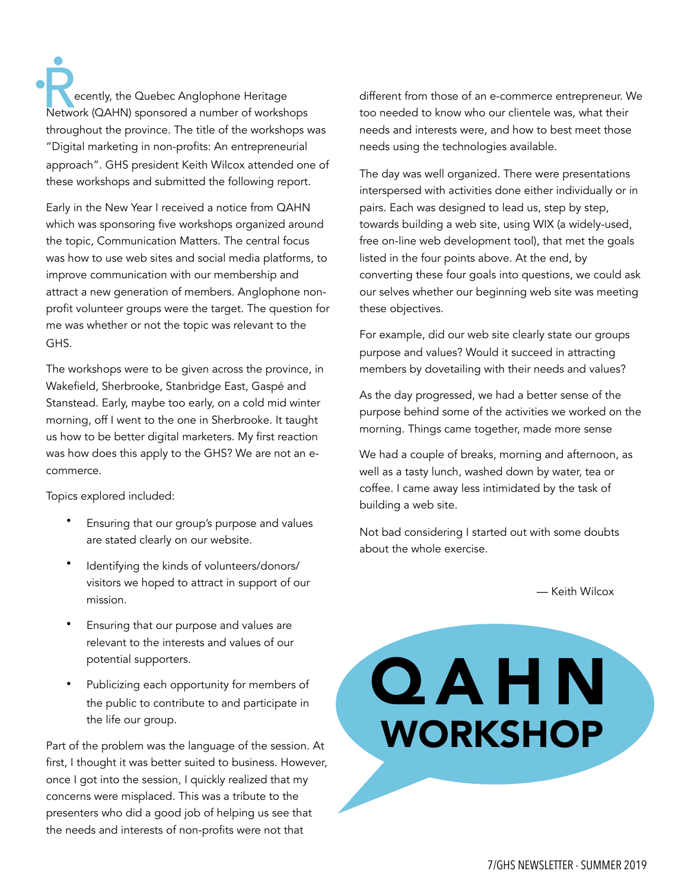ecently, the Quebec Anglophone Heritage External State (QAHN) sponsored a number of workshops Network (QAHN) sponsored a number of workshops throughout the province. The title of the workshops was "Digital marketing in non-profits: An entrepreneurial approach". GHS president Keith Wilcox attended one of these workshops and submitted the following report.

Early in the New Year I received a notice from QAHN which was sponsoring five workshops organized around the topic, Communication Matters. The central focus was how to use web sites and social media platforms, to improve communication with our membership and attract a new generation of members. Anglophone nonprofit volunteer groups were the target. The question for me was whether or not the topic was relevant to the GHS.

The workshops were to be given across the province, in Wakefield, Sherbrooke, Stanbridge East, Gaspé and Stanstead. Early, maybe too early, on a cold mid winter morning, off I went to the one in Sherbrooke. It taught us how to be better digital marketers. My first reaction was how does this apply to the GHS? We are not an ecommerce.

Topics explored included:

- Ensuring that our group's purpose and values are stated clearly on our website.
- Identifying the kinds of volunteers/donors/ visitors we hoped to attract in support of our mission.
- Ensuring that our purpose and values are relevant to the interests and values of our potential supporters.
- Publicizing each opportunity for members of the public to contribute to and participate in the life our group.

Part of the problem was the language of the session. At first, I thought it was better suited to business. However, once I got into the session, I quickly realized that my concerns were misplaced. This was a tribute to the presenters who did a good job of helping us see that the needs and interests of non-profits were not that

different from those of an e-commerce entrepreneur. We too needed to know who our clientele was, what their needs and interests were, and how to best meet those needs using the technologies available.

The day was well organized. There were presentations interspersed with activities done either individually or in pairs. Each was designed to lead us, step by step, towards building a web site, using WIX (a widely-used, free on-line web development tool), that met the goals listed in the four points above. At the end, by converting these four goals into questions, we could ask our selves whether our beginning web site was meeting these objectives.

For example, did our web site clearly state our groups purpose and values? Would it succeed in attracting members by dovetailing with their needs and values?

As the day progressed, we had a better sense of the purpose behind some of the activities we worked on the morning. Things came together, made more sense

We had a couple of breaks, morning and afternoon, as well as a tasty lunch, washed down by water, tea or coffee. I came away less intimidated by the task of building a web site.

Not bad considering I started out with some doubts about the whole exercise.

— Keith Wilcox

Q A H N<br>WORKSHOP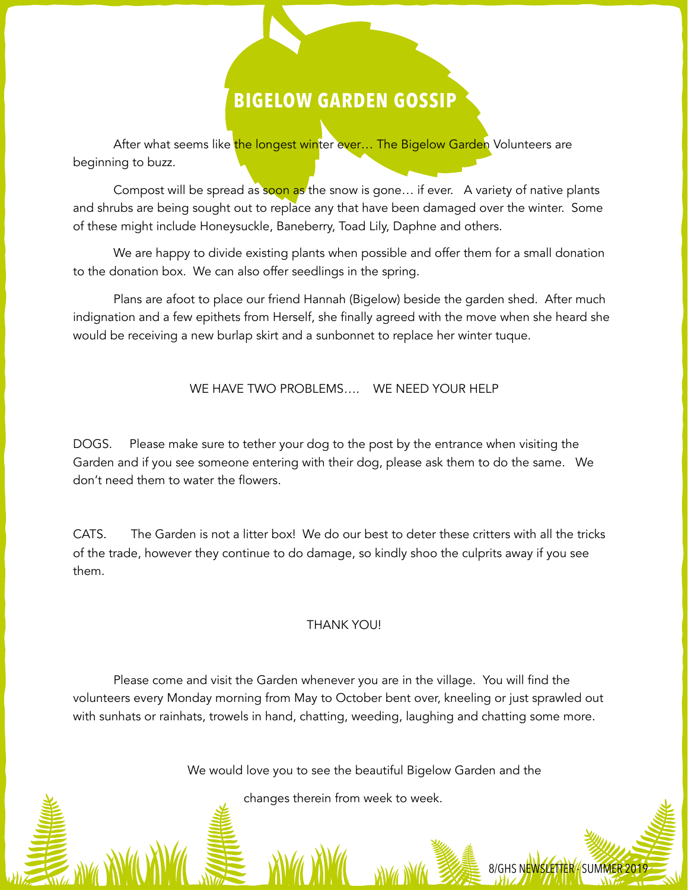### **BIGELOW GARDEN GOSSIP**

After what seems like the longest winter ever... The Bigelow Garden Volunteers are beginning to buzz.

Compost will be spread as soon as the snow is gone... if ever. A variety of native plants and shrubs are being sought out to replace any that have been damaged over the winter. Some of these might include Honeysuckle, Baneberry, Toad Lily, Daphne and others.

 We are happy to divide existing plants when possible and offer them for a small donation to the donation box. We can also offer seedlings in the spring.

Plans are afoot to place our friend Hannah (Bigelow) beside the garden shed. After much indignation and a few epithets from Herself, she finally agreed with the move when she heard she would be receiving a new burlap skirt and a sunbonnet to replace her winter tuque.

#### WE HAVE TWO PROBLEMS…. WE NEED YOUR HELP

DOGS. Please make sure to tether your dog to the post by the entrance when visiting the Garden and if you see someone entering with their dog, please ask them to do the same. We don't need them to water the flowers.

CATS. The Garden is not a litter box! We do our best to deter these critters with all the tricks of the trade, however they continue to do damage, so kindly shoo the culprits away if you see them.

#### THANK YOU!

 Please come and visit the Garden whenever you are in the village. You will find the volunteers every Monday morning from May to October bent over, kneeling or just sprawled out with sunhats or rainhats, trowels in hand, chatting, weeding, laughing and chatting some more.

We would love you to see the beautiful Bigelow Garden and the

8/GHS N<mark>EWSLETTER /</mark> SUMMER 2019

changes therein from week to week.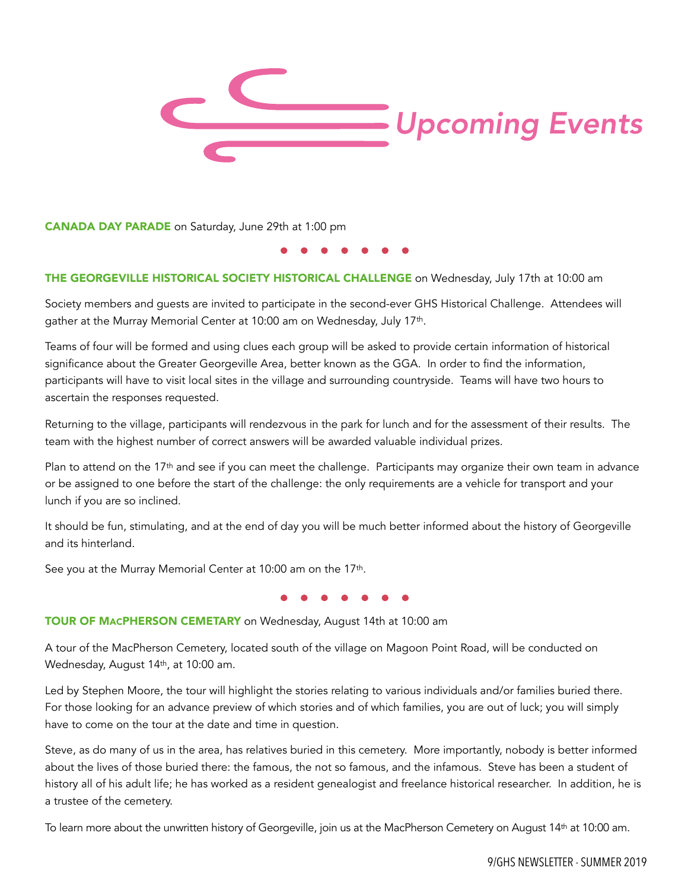

CANADA DAY PARADE on Saturday, June 29th at 1:00 pm

#### THE GEORGEVILLE HISTORICAL SOCIETY HISTORICAL CHALLENGE on Wednesday, July 17th at 10:00 am

Society members and guests are invited to participate in the second-ever GHS Historical Challenge. Attendees will gather at the Murray Memorial Center at 10:00 am on Wednesday, July 17th.

Teams of four will be formed and using clues each group will be asked to provide certain information of historical significance about the Greater Georgeville Area, better known as the GGA. In order to find the information, participants will have to visit local sites in the village and surrounding countryside. Teams will have two hours to ascertain the responses requested.

Returning to the village, participants will rendezvous in the park for lunch and for the assessment of their results. The team with the highest number of correct answers will be awarded valuable individual prizes.

Plan to attend on the 17<sup>th</sup> and see if you can meet the challenge. Participants may organize their own team in advance or be assigned to one before the start of the challenge: the only requirements are a vehicle for transport and your lunch if you are so inclined.

It should be fun, stimulating, and at the end of day you will be much better informed about the history of Georgeville and its hinterland.

See you at the Murray Memorial Center at 10:00 am on the 17th.

#### TOUR OF MACPHERSON CEMETARY on Wednesday, August 14th at 10:00 am

A tour of the MacPherson Cemetery, located south of the village on Magoon Point Road, will be conducted on Wednesday, August 14th, at 10:00 am.

Led by Stephen Moore, the tour will highlight the stories relating to various individuals and/or families buried there. For those looking for an advance preview of which stories and of which families, you are out of luck; you will simply have to come on the tour at the date and time in question.

Steve, as do many of us in the area, has relatives buried in this cemetery. More importantly, nobody is better informed about the lives of those buried there: the famous, the not so famous, and the infamous. Steve has been a student of history all of his adult life; he has worked as a resident genealogist and freelance historical researcher. In addition, he is a trustee of the cemetery.

To learn more about the unwritten history of Georgeville, join us at the MacPherson Cemetery on August 14th at 10:00 am.